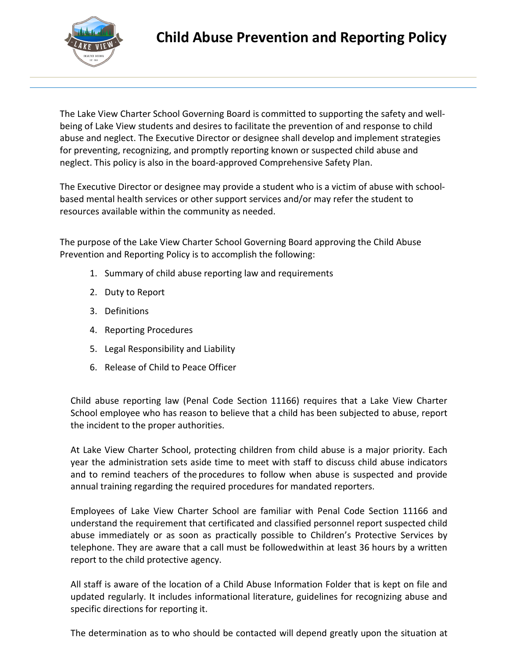

The Lake View Charter School Governing Board is committed to supporting the safety and wellbeing of Lake View students and desires to facilitate the prevention of and response to child abuse and neglect. The Executive Director or designee shall develop and implement strategies for preventing, recognizing, and promptly reporting known or suspected child abuse and neglect. This policy is also in the board-approved Comprehensive Safety Plan.

The Executive Director or designee may provide a student who is a victim of abuse with schoolbased mental health services or other support services and/or may refer the student to resources available within the community as needed.

The purpose of the Lake View Charter School Governing Board approving the Child Abuse Prevention and Reporting Policy is to accomplish the following:

- 1. Summary of child abuse reporting law and requirements
- 2. Duty to Report
- 3. Definitions
- 4. Reporting Procedures
- 5. Legal Responsibility and Liability
- 6. Release of Child to Peace Officer

Child abuse reporting law (Penal Code Section 11166) requires that a Lake View Charter School employee who has reason to believe that a child has been subjected to abuse, report the incident to the proper authorities.

At Lake View Charter School, protecting children from child abuse is a major priority. Each year the administration sets aside time to meet with staff to discuss child abuse indicators and to remind teachers of the procedures to follow when abuse is suspected and provide annual training regarding the required procedures for mandated reporters.

Employees of Lake View Charter School are familiar with Penal Code Section 11166 and understand the requirement that certificated and classified personnel report suspected child abuse immediately or as soon as practically possible to Children's Protective Services by telephone. They are aware that a call must be followedwithin at least 36 hours by a written report to the child protective agency.

All staff is aware of the location of a Child Abuse Information Folder that is kept on file and updated regularly. It includes informational literature, guidelines for recognizing abuse and specific directions for reporting it.

The determination as to who should be contacted will depend greatly upon the situation at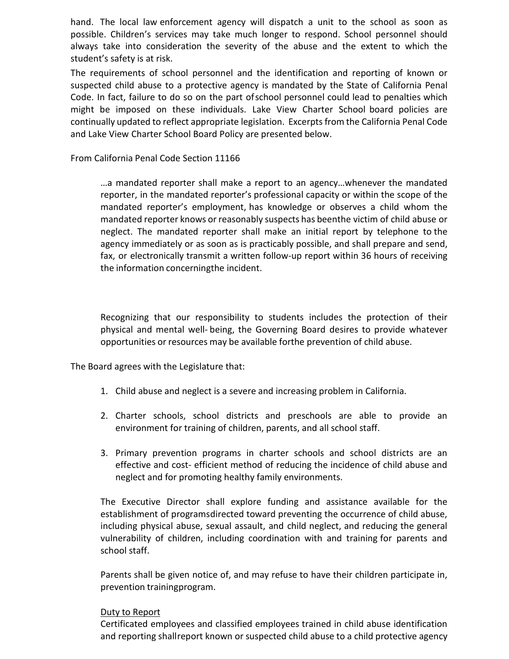hand. The local law enforcement agency will dispatch a unit to the school as soon as possible. Children's services may take much longer to respond. School personnel should always take into consideration the severity of the abuse and the extent to which the student's safety is at risk.

The requirements of school personnel and the identification and reporting of known or suspected child abuse to a protective agency is mandated by the State of California Penal Code. In fact, failure to do so on the part ofschool personnel could lead to penalties which might be imposed on these individuals. Lake View Charter School board policies are continually updated to reflect appropriate legislation. Excerptsfrom the California Penal Code and Lake View Charter School Board Policy are presented below.

From California Penal Code Section 11166

…a mandated reporter shall make a report to an agency…whenever the mandated reporter, in the mandated reporter's professional capacity or within the scope of the mandated reporter's employment, has knowledge or observes a child whom the mandated reporter knows or reasonably suspects has beenthe victim of child abuse or neglect. The mandated reporter shall make an initial report by telephone to the agency immediately or as soon as is practicably possible, and shall prepare and send, fax, or electronically transmit a written follow-up report within 36 hours of receiving the information concerningthe incident.

Recognizing that our responsibility to students includes the protection of their physical and mental well- being, the Governing Board desires to provide whatever opportunities or resources may be available forthe prevention of child abuse.

The Board agrees with the Legislature that:

- 1. Child abuse and neglect is a severe and increasing problem in California.
- 2. Charter schools, school districts and preschools are able to provide an environment for training of children, parents, and all school staff.
- 3. Primary prevention programs in charter schools and school districts are an effective and cost- efficient method of reducing the incidence of child abuse and neglect and for promoting healthy family environments.

The Executive Director shall explore funding and assistance available for the establishment of programsdirected toward preventing the occurrence of child abuse, including physical abuse, sexual assault, and child neglect, and reducing the general vulnerability of children, including coordination with and training for parents and school staff.

Parents shall be given notice of, and may refuse to have their children participate in, prevention trainingprogram.

#### Duty to Report

Certificated employees and classified employees trained in child abuse identification and reporting shallreport known or suspected child abuse to a child protective agency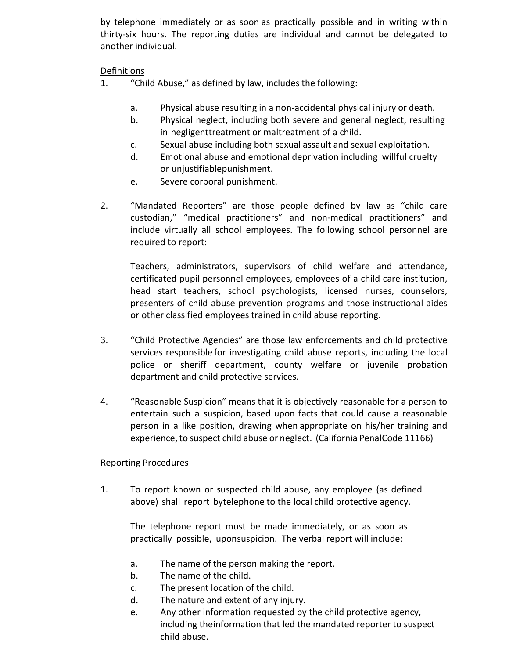by telephone immediately or as soon as practically possible and in writing within thirty-six hours. The reporting duties are individual and cannot be delegated to another individual.

# Definitions

- 1. "Child Abuse," as defined by law, includes the following:
	- a. Physical abuse resulting in a non-accidental physical injury or death.
	- b. Physical neglect, including both severe and general neglect, resulting in negligenttreatment or maltreatment of a child.
	- c. Sexual abuse including both sexual assault and sexual exploitation.
	- d. Emotional abuse and emotional deprivation including willful cruelty or unjustifiablepunishment.
	- e. Severe corporal punishment.
- 2. "Mandated Reporters" are those people defined by law as "child care custodian," "medical practitioners" and non-medical practitioners" and include virtually all school employees. The following school personnel are required to report:

Teachers, administrators, supervisors of child welfare and attendance, certificated pupil personnel employees, employees of a child care institution, head start teachers, school psychologists, licensed nurses, counselors, presenters of child abuse prevention programs and those instructional aides or other classified employees trained in child abuse reporting.

- 3. "Child Protective Agencies" are those law enforcements and child protective services responsible for investigating child abuse reports, including the local police or sheriff department, county welfare or juvenile probation department and child protective services.
- 4. "Reasonable Suspicion" means that it is objectively reasonable for a person to entertain such a suspicion, based upon facts that could cause a reasonable person in a like position, drawing when appropriate on his/her training and experience, to suspect child abuse or neglect. (California PenalCode 11166)

## Reporting Procedures

1. To report known or suspected child abuse, any employee (as defined above) shall report bytelephone to the local child protective agency.

The telephone report must be made immediately, or as soon as practically possible, uponsuspicion. The verbal report will include:

- a. The name of the person making the report.
- b. The name of the child.
- c. The present location of the child.
- d. The nature and extent of any injury.
- e. Any other information requested by the child protective agency, including theinformation that led the mandated reporter to suspect child abuse.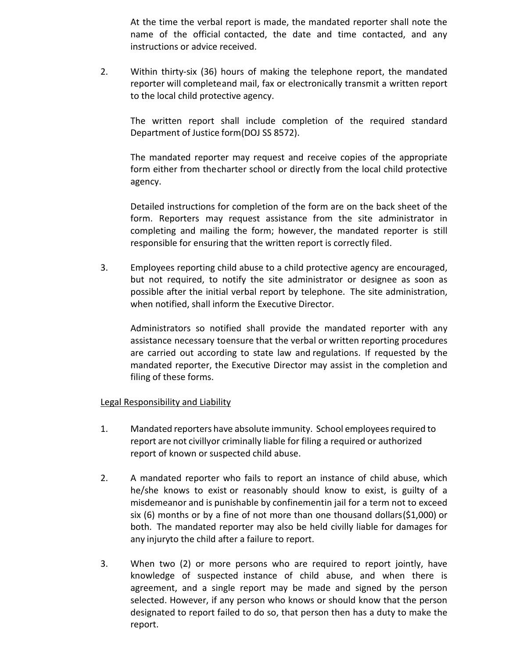At the time the verbal report is made, the mandated reporter shall note the name of the official contacted, the date and time contacted, and any instructions or advice received.

2. Within thirty-six (36) hours of making the telephone report, the mandated reporter will completeand mail, fax or electronically transmit a written report to the local child protective agency.

The written report shall include completion of the required standard Department of Justice form(DOJ SS 8572).

The mandated reporter may request and receive copies of the appropriate form either from thecharter school or directly from the local child protective agency.

Detailed instructions for completion of the form are on the back sheet of the form. Reporters may request assistance from the site administrator in completing and mailing the form; however, the mandated reporter is still responsible for ensuring that the written report is correctly filed.

3. Employees reporting child abuse to a child protective agency are encouraged, but not required, to notify the site administrator or designee as soon as possible after the initial verbal report by telephone. The site administration, when notified, shall inform the Executive Director.

Administrators so notified shall provide the mandated reporter with any assistance necessary toensure that the verbal or written reporting procedures are carried out according to state law and regulations. If requested by the mandated reporter, the Executive Director may assist in the completion and filing of these forms.

## Legal Responsibility and Liability

- 1. Mandated reporters have absolute immunity. School employeesrequired to report are not civillyor criminally liable for filing a required or authorized report of known or suspected child abuse.
- 2. A mandated reporter who fails to report an instance of child abuse, which he/she knows to exist or reasonably should know to exist, is guilty of a misdemeanor and is punishable by confinementin jail for a term not to exceed six (6) months or by a fine of not more than one thousand dollars(\$1,000) or both. The mandated reporter may also be held civilly liable for damages for any injuryto the child after a failure to report.
- 3. When two (2) or more persons who are required to report jointly, have knowledge of suspected instance of child abuse, and when there is agreement, and a single report may be made and signed by the person selected. However, if any person who knows or should know that the person designated to report failed to do so, that person then has a duty to make the report.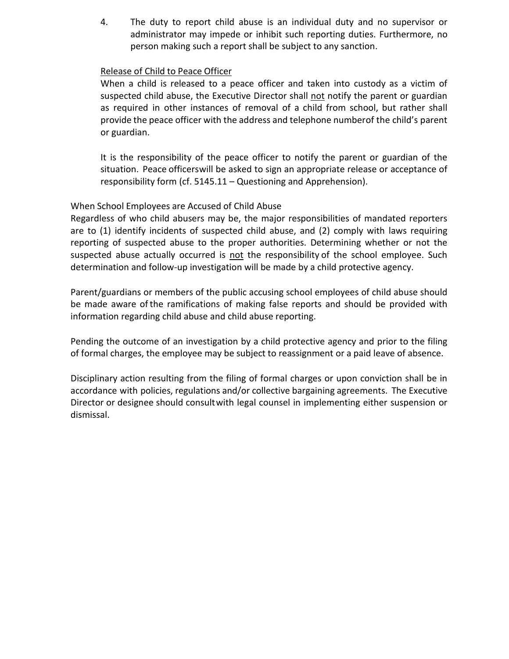4. The duty to report child abuse is an individual duty and no supervisor or administrator may impede or inhibit such reporting duties. Furthermore, no person making such a report shall be subject to any sanction.

#### Release of Child to Peace Officer

When a child is released to a peace officer and taken into custody as a victim of suspected child abuse, the Executive Director shall not notify the parent or guardian as required in other instances of removal of a child from school, but rather shall provide the peace officer with the address and telephone numberof the child's parent or guardian.

It is the responsibility of the peace officer to notify the parent or guardian of the situation. Peace officerswill be asked to sign an appropriate release or acceptance of responsibility form (cf. 5145.11 – Questioning and Apprehension).

## When School Employees are Accused of Child Abuse

Regardless of who child abusers may be, the major responsibilities of mandated reporters are to (1) identify incidents of suspected child abuse, and (2) comply with laws requiring reporting of suspected abuse to the proper authorities. Determining whether or not the suspected abuse actually occurred is not the responsibility of the school employee. Such determination and follow-up investigation will be made by a child protective agency.

Parent/guardians or members of the public accusing school employees of child abuse should be made aware ofthe ramifications of making false reports and should be provided with information regarding child abuse and child abuse reporting.

Pending the outcome of an investigation by a child protective agency and prior to the filing of formal charges, the employee may be subject to reassignment or a paid leave of absence.

Disciplinary action resulting from the filing of formal charges or upon conviction shall be in accordance with policies, regulations and/or collective bargaining agreements. The Executive Director or designee should consultwith legal counsel in implementing either suspension or dismissal.